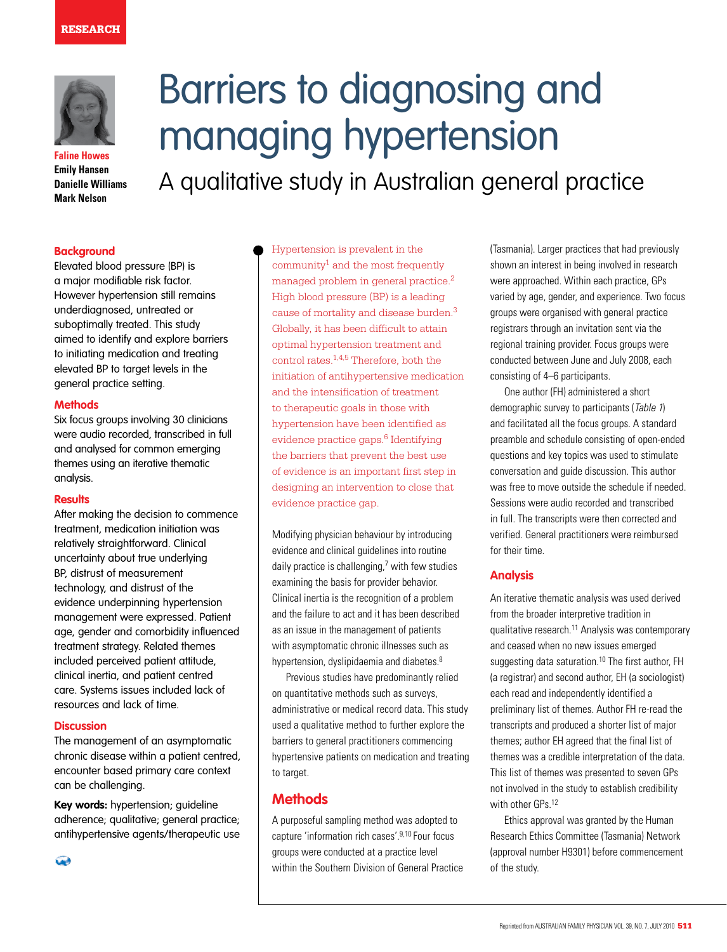### **RESEARCH**



**Faline Howes Emily Hansen Danielle Williams Mark Nelson**

# Barriers to diagnosing and managing hypertension

A qualitative study in Australian general practice

# **Background**

Elevated blood pressure (BP) is a major modifiable risk factor. However hypertension still remains underdiagnosed, untreated or suboptimally treated. This study aimed to identify and explore barriers to initiating medication and treating elevated BP to target levels in the general practice setting.

## **Methods**

Six focus groups involving 30 clinicians were audio recorded, transcribed in full and analysed for common emerging themes using an iterative thematic analysis.

## **Results**

After making the decision to commence treatment, medication initiation was relatively straightforward. Clinical uncertainty about true underlying BP, distrust of measurement technology, and distrust of the evidence underpinning hypertension management were expressed. Patient age, gender and comorbidity influenced treatment strategy. Related themes included perceived patient attitude, clinical inertia, and patient centred care. Systems issues included lack of resources and lack of time.

#### **Discussion**

The management of an asymptomatic chronic disease within a patient centred, encounter based primary care context can be challenging.

**Key words:** hypertension; guideline adherence; qualitative; general practice; antihypertensive agents/therapeutic use

 $\bigcirc$ 

Hypertension is prevalent in the  $community<sup>1</sup>$  and the most frequently managed problem in general practice.2 High blood pressure (BP) is a leading cause of mortality and disease burden.3 Globally, it has been difficult to attain optimal hypertension treatment and control rates.1,4,5 Therefore, both the initiation of antihypertensive medication and the intensification of treatment to therapeutic goals in those with hypertension have been identified as evidence practice gaps.<sup>6</sup> Identifying the barriers that prevent the best use of evidence is an important first step in designing an intervention to close that evidence practice gap.

Modifying physician behaviour by introducing evidence and clinical guidelines into routine daily practice is challenging,<sup>7</sup> with few studies examining the basis for provider behavior. Clinical inertia is the recognition of a problem and the failure to act and it has been described as an issue in the management of patients with asymptomatic chronic illnesses such as hypertension, dyslipidaemia and diabetes.<sup>8</sup>

Previous studies have predominantly relied on quantitative methods such as surveys, administrative or medical record data. This study used a qualitative method to further explore the barriers to general practitioners commencing hypertensive patients on medication and treating to target.

## **Methods**

A purposeful sampling method was adopted to capture 'information rich cases'.9,10 Four focus groups were conducted at a practice level within the Southern Division of General Practice (Tasmania). Larger practices that had previously shown an interest in being involved in research were approached. Within each practice, GPs varied by age, gender, and experience. Two focus groups were organised with general practice registrars through an invitation sent via the regional training provider. Focus groups were conducted between June and July 2008, each consisting of 4–6 participants.

One author (FH) administered a short demographic survey to participants (Table 1) and facilitated all the focus groups. A standard preamble and schedule consisting of open-ended questions and key topics was used to stimulate conversation and guide discussion. This author was free to move outside the schedule if needed. Sessions were audio recorded and transcribed in full. The transcripts were then corrected and verified. General practitioners were reimbursed for their time.

## **Analysis**

An iterative thematic analysis was used derived from the broader interpretive tradition in qualitative research.11 Analysis was contemporary and ceased when no new issues emerged suggesting data saturation.<sup>10</sup> The first author, FH (a registrar) and second author, EH (a sociologist) each read and independently identified a preliminary list of themes. Author FH re-read the transcripts and produced a shorter list of major themes; author EH agreed that the final list of themes was a credible interpretation of the data. This list of themes was presented to seven GPs not involved in the study to establish credibility with other GPs.<sup>12</sup>

Ethics approval was granted by the Human Research Ethics Committee (Tasmania) Network (approval number H9301) before commencement of the study.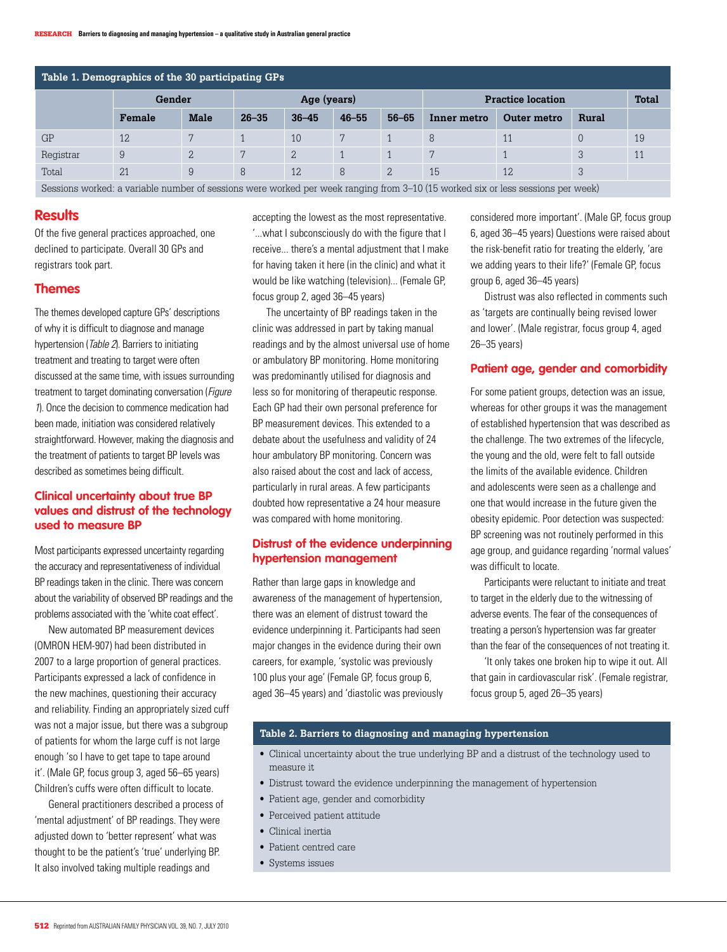| Table 1. Demographics of the 30 participating GPs |        |                |             |               |           |           |                          |             |       |              |
|---------------------------------------------------|--------|----------------|-------------|---------------|-----------|-----------|--------------------------|-------------|-------|--------------|
|                                                   | Gender |                | Age (years) |               |           |           | <b>Practice location</b> |             |       | <b>Total</b> |
|                                                   | Female | <b>Male</b>    | $26 - 35$   | $36 - 45$     | $46 - 55$ | $56 - 65$ | Inner metro              | Outer metro | Rural |              |
| GP                                                | 12     | 7              |             | 10            | 7         |           | 8                        | 11          | 0     | 19           |
| Registrar                                         | 9      | $\overline{2}$ |             | $\mathcal{L}$ |           |           | 7                        |             | 3     | 11           |
| Total                                             | 21     | 9              | 8           | 12            | 8         | 2         | 15                       | 12          | 3     |              |
| $    -$<br>$\sim$ $\sim$<br>.<br>.                |        |                |             |               |           |           |                          |             |       |              |

Sessions worked: a variable number of sessions were worked per week ranging from 3–10 (15 worked six or less sessions per week)

# **Results**

Of the five general practices approached, one declined to participate. Overall 30 GPs and registrars took part.

## **Themes**

The themes developed capture GPs' descriptions of why it is difficult to diagnose and manage hypertension (Table 2). Barriers to initiating treatment and treating to target were often discussed at the same time, with issues surrounding treatment to target dominating conversation (Figure 1). Once the decision to commence medication had been made, initiation was considered relatively straightforward. However, making the diagnosis and the treatment of patients to target BP levels was described as sometimes being difficult.

# **Clinical uncertainty about true BP values and distrust of the technology used to measure BP**

Most participants expressed uncertainty regarding the accuracy and representativeness of individual BP readings taken in the clinic. There was concern about the variability of observed BP readings and the problems associated with the 'white coat effect'.

New automated BP measurement devices (OMRON HEM-907) had been distributed in 2007 to a large proportion of general practices. Participants expressed a lack of confidence in the new machines, questioning their accuracy and reliability. Finding an appropriately sized cuff was not a major issue, but there was a subgroup of patients for whom the large cuff is not large enough 'so I have to get tape to tape around it'. (Male GP, focus group 3, aged 56–65 years) Children's cuffs were often difficult to locate.

General practitioners described a process of 'mental adjustment' of BP readings. They were adjusted down to 'better represent' what was thought to be the patient's 'true' underlying BP. It also involved taking multiple readings and

accepting the lowest as the most representative. '...what I subconsciously do with the figure that I receive... there's a mental adjustment that I make for having taken it here (in the clinic) and what it would be like watching (television)... (Female GP, focus group 2, aged 36–45 years)

The uncertainty of BP readings taken in the clinic was addressed in part by taking manual readings and by the almost universal use of home or ambulatory BP monitoring. Home monitoring was predominantly utilised for diagnosis and less so for monitoring of therapeutic response. Each GP had their own personal preference for BP measurement devices. This extended to a debate about the usefulness and validity of 24 hour ambulatory BP monitoring. Concern was also raised about the cost and lack of access, particularly in rural areas. A few participants doubted how representative a 24 hour measure was compared with home monitoring.

# **Distrust of the evidence underpinning hypertension management**

Rather than large gaps in knowledge and awareness of the management of hypertension, there was an element of distrust toward the evidence underpinning it. Participants had seen major changes in the evidence during their own careers, for example, 'systolic was previously 100 plus your age' (Female GP, focus group 6, aged 36–45 years) and 'diastolic was previously considered more important'. (Male GP, focus group 6, aged 36–45 years) Questions were raised about the risk-benefit ratio for treating the elderly, 'are we adding years to their life?' (Female GP, focus group 6, aged 36–45 years)

Distrust was also reflected in comments such as 'targets are continually being revised lower and lower'. (Male registrar, focus group 4, aged 26–35 years)

## **Patient age, gender and comorbidity**

For some patient groups, detection was an issue, whereas for other groups it was the management of established hypertension that was described as the challenge. The two extremes of the lifecycle, the young and the old, were felt to fall outside the limits of the available evidence. Children and adolescents were seen as a challenge and one that would increase in the future given the obesity epidemic. Poor detection was suspected: BP screening was not routinely performed in this age group, and guidance regarding 'normal values' was difficult to locate.

Participants were reluctant to initiate and treat to target in the elderly due to the witnessing of adverse events. The fear of the consequences of treating a person's hypertension was far greater than the fear of the consequences of not treating it.

'It only takes one broken hip to wipe it out. All that gain in cardiovascular risk'. (Female registrar, focus group 5, aged 26–35 years)

## **Table 2. Barriers to diagnosing and managing hypertension**

- • Clinical uncertainty about the true underlying BP and a distrust of the technology used to measure it
- Distrust toward the evidence underpinning the management of hypertension
- Patient age, gender and comorbidity
- Perceived patient attitude
- Clinical inertia
- • Patient centred care
- • Systems issues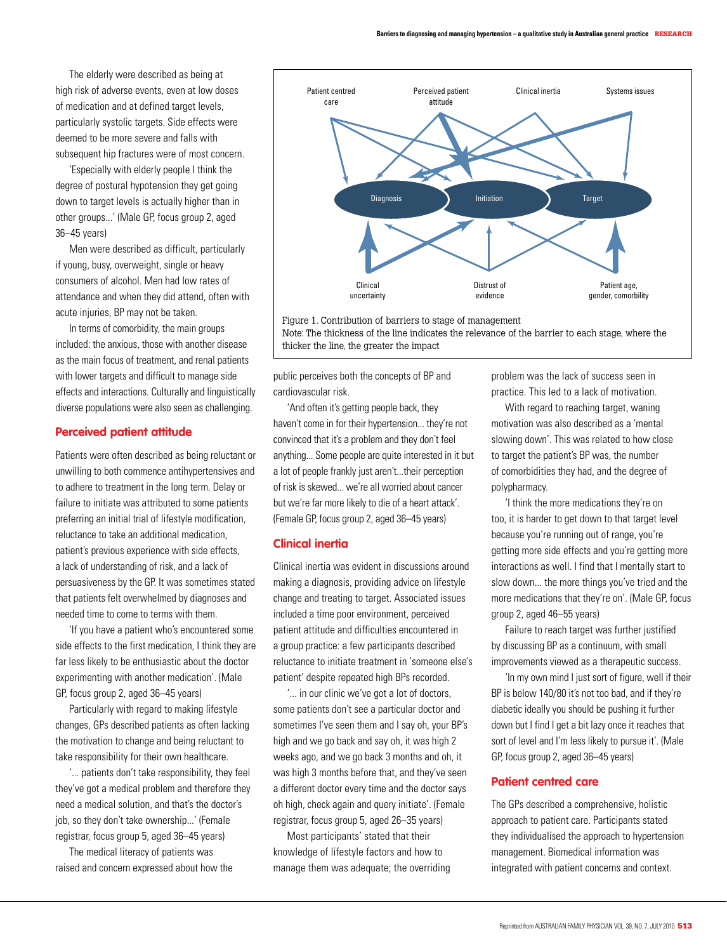The elderly were described as being at high risk of adverse events, even at low doses of medication and at defined target levels, particularly systolic targets. Side effects were deemed to be more severe and falls with subsequent hip fractures were of most concern.

'Especially with elderly people I think the degree of postural hypotension they get going down to target levels is actually higher than in other groups...' (Male GP, focus group 2, aged 36–45 years)

Men were described as difficult, particularly if young, busy, overweight, single or heavy consumers of alcohol. Men had low rates of attendance and when they did attend, often with acute injuries, BP may not be taken.

 In terms of comorbidity, the main groups included: the anxious, those with another disease as the main focus of treatment, and renal patients with lower targets and difficult to manage side effects and interactions. Culturally and linguistically diverse populations were also seen as challenging.

#### **Perceived patient attitude**

Patients were often described as being reluctant or unwilling to both commence antihypertensives and to adhere to treatment in the long term. Delay or failure to initiate was attributed to some patients preferring an initial trial of lifestyle modification, reluctance to take an additional medication, patient's previous experience with side effects, a lack of understanding of risk, and a lack of persuasiveness by the GP. It was sometimes stated that patients felt overwhelmed by diagnoses and needed time to come to terms with them.

'If you have a patient who's encountered some side effects to the first medication, I think they are far less likely to be enthusiastic about the doctor experimenting with another medication'. (Male GP, focus group 2, aged 36–45 years)

Particularly with regard to making lifestyle changes, GPs described patients as often lacking the motivation to change and being reluctant to take responsibility for their own healthcare.

'... patients don't take responsibility, they feel they've got a medical problem and therefore they need a medical solution, and that's the doctor's job, so they don't take ownership...' (Female registrar, focus group 5, aged 36–45 years)

The medical literacy of patients was raised and concern expressed about how the



Figure 1. Contribution of barriers to stage of management Note: The thickness of the line indicates the relevance of the barrier to each stage, where the thicker the line, the greater the impact

public perceives both the concepts of BP and cardiovascular risk.

'And often it's getting people back, they haven't come in for their hypertension... they're not convinced that it's a problem and they don't feel anything... Some people are quite interested in it but a lot of people frankly just aren't...their perception of risk is skewed... we're all worried about cancer but we're far more likely to die of a heart attack'. (Female GP, focus group 2, aged 36–45 years)

## **Clinical inertia**

Clinical inertia was evident in discussions around making a diagnosis, providing advice on lifestyle change and treating to target. Associated issues included a time poor environment, perceived patient attitude and difficulties encountered in a group practice: a few participants described reluctance to initiate treatment in 'someone else's patient' despite repeated high BPs recorded.

'... in our clinic we've got a lot of doctors, some patients don't see a particular doctor and sometimes I've seen them and I say oh, your BP's high and we go back and say oh, it was high 2 weeks ago, and we go back 3 months and oh, it was high 3 months before that, and they've seen a different doctor every time and the doctor says oh high, check again and query initiate'. (Female registrar, focus group 5, aged 26–35 years)

Most participants' stated that their knowledge of lifestyle factors and how to manage them was adequate; the overriding

problem was the lack of success seen in practice. This led to a lack of motivation.

With regard to reaching target, waning motivation was also described as a 'mental slowing down'. This was related to how close to target the patient's BP was, the number of comorbidities they had, and the degree of polypharmacy.

'I think the more medications they're on too, it is harder to get down to that target level because you're running out of range, you're getting more side effects and you're getting more interactions as well. I find that I mentally start to slow down... the more things you've tried and the more medications that they're on'. (Male GP, focus group 2, aged 46–55 years)

Failure to reach target was further justified by discussing BP as a continuum, with small improvements viewed as a therapeutic success.

'In my own mind I just sort of figure, well if their BP is below 140/80 it's not too bad, and if they're diabetic ideally you should be pushing it further down but I find I get a bit lazy once it reaches that sort of level and I'm less likely to pursue it'. (Male GP, focus group 2, aged 36–45 years)

## **Patient centred care**

The GPs described a comprehensive, holistic approach to patient care. Participants stated they individualised the approach to hypertension management. Biomedical information was integrated with patient concerns and context.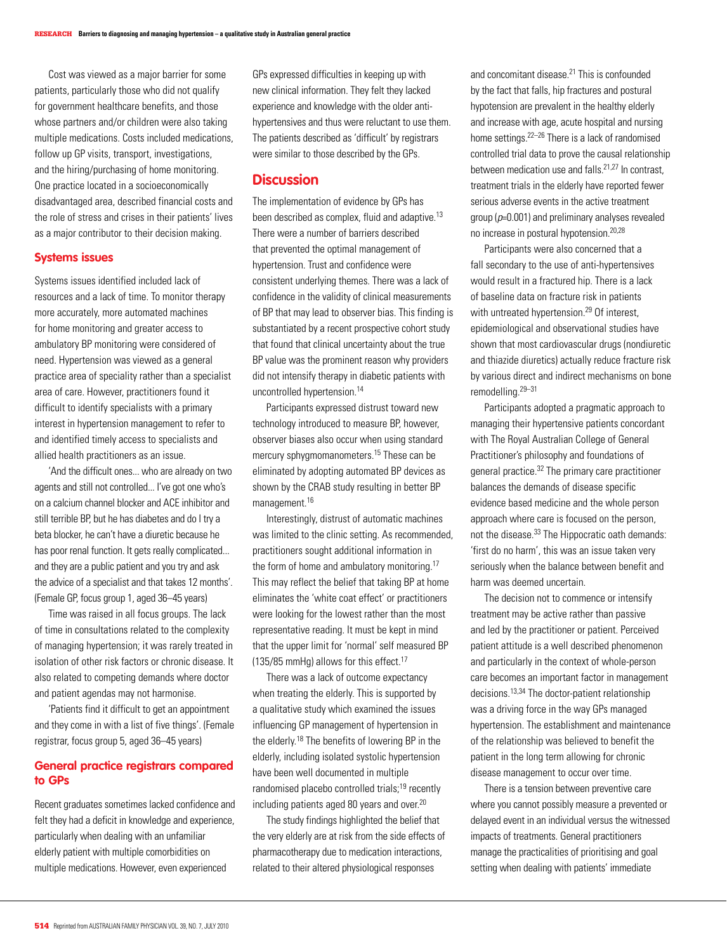Cost was viewed as a major barrier for some patients, particularly those who did not qualify for government healthcare benefits, and those whose partners and/or children were also taking multiple medications. Costs included medications, follow up GP visits, transport, investigations, and the hiring/purchasing of home monitoring. One practice located in a socioeconomically disadvantaged area, described financial costs and the role of stress and crises in their patients' lives as a major contributor to their decision making.

#### **Systems issues**

Systems issues identified included lack of resources and a lack of time. To monitor therapy more accurately, more automated machines for home monitoring and greater access to ambulatory BP monitoring were considered of need. Hypertension was viewed as a general practice area of speciality rather than a specialist area of care. However, practitioners found it difficult to identify specialists with a primary interest in hypertension management to refer to and identified timely access to specialists and allied health practitioners as an issue.

'And the difficult ones... who are already on two agents and still not controlled... I've got one who's on a calcium channel blocker and ACE inhibitor and still terrible BP, but he has diabetes and do I try a beta blocker, he can't have a diuretic because he has poor renal function. It gets really complicated... and they are a public patient and you try and ask the advice of a specialist and that takes 12 months'. (Female GP, focus group 1, aged 36–45 years)

Time was raised in all focus groups. The lack of time in consultations related to the complexity of managing hypertension; it was rarely treated in isolation of other risk factors or chronic disease. It also related to competing demands where doctor and patient agendas may not harmonise.

'Patients find it difficult to get an appointment and they come in with a list of five things'. (Female registrar, focus group 5, aged 36–45 years)

## **General practice registrars compared to GPs**

Recent graduates sometimes lacked confidence and felt they had a deficit in knowledge and experience, particularly when dealing with an unfamiliar elderly patient with multiple comorbidities on multiple medications. However, even experienced

GPs expressed difficulties in keeping up with new clinical information. They felt they lacked experience and knowledge with the older antihypertensives and thus were reluctant to use them. The patients described as 'difficult' by registrars were similar to those described by the GPs.

## **Discussion**

The implementation of evidence by GPs has been described as complex, fluid and adaptive.<sup>13</sup> There were a number of barriers described that prevented the optimal management of hypertension. Trust and confidence were consistent underlying themes. There was a lack of confidence in the validity of clinical measurements of BP that may lead to observer bias. This finding is substantiated by a recent prospective cohort study that found that clinical uncertainty about the true BP value was the prominent reason why providers did not intensify therapy in diabetic patients with uncontrolled hypertension.<sup>14</sup>

Participants expressed distrust toward new technology introduced to measure BP, however, observer biases also occur when using standard mercury sphygmomanometers.15 These can be eliminated by adopting automated BP devices as shown by the CRAB study resulting in better BP management.<sup>16</sup>

 Interestingly, distrust of automatic machines was limited to the clinic setting. As recommended, practitioners sought additional information in the form of home and ambulatory monitoring.17 This may reflect the belief that taking BP at home eliminates the 'white coat effect' or practitioners were looking for the lowest rather than the most representative reading. It must be kept in mind that the upper limit for 'normal' self measured BP (135/85 mmHg) allows for this effect.17

There was a lack of outcome expectancy when treating the elderly. This is supported by a qualitative study which examined the issues influencing GP management of hypertension in the elderly.18 The benefits of lowering BP in the elderly, including isolated systolic hypertension have been well documented in multiple randomised placebo controlled trials;<sup>19</sup> recently including patients aged 80 years and over.<sup>20</sup>

The study findings highlighted the belief that the very elderly are at risk from the side effects of pharmacotherapy due to medication interactions, related to their altered physiological responses

and concomitant disease.21 This is confounded by the fact that falls, hip fractures and postural hypotension are prevalent in the healthy elderly and increase with age, acute hospital and nursing home settings.22–26 There is a lack of randomised controlled trial data to prove the causal relationship between medication use and falls  $21,27$  In contrast treatment trials in the elderly have reported fewer serious adverse events in the active treatment aroup ( $p=0.001$ ) and preliminary analyses revealed no increase in postural hypotension.20,28

Participants were also concerned that a fall secondary to the use of anti-hypertensives would result in a fractured hip. There is a lack of baseline data on fracture risk in patients with untreated hypertension.<sup>29</sup> Of interest, epidemiological and observational studies have shown that most cardiovascular drugs (nondiuretic and thiazide diuretics) actually reduce fracture risk by various direct and indirect mechanisms on bone remodelling.29–31

Participants adopted a pragmatic approach to managing their hypertensive patients concordant with The Royal Australian College of General Practitioner's philosophy and foundations of general practice.32 The primary care practitioner balances the demands of disease specific evidence based medicine and the whole person approach where care is focused on the person, not the disease.33 The Hippocratic oath demands: 'first do no harm', this was an issue taken very seriously when the balance between benefit and harm was deemed uncertain.

The decision not to commence or intensify treatment may be active rather than passive and led by the practitioner or patient. Perceived patient attitude is a well described phenomenon and particularly in the context of whole-person care becomes an important factor in management decisions.13,34 The doctor-patient relationship was a driving force in the way GPs managed hypertension. The establishment and maintenance of the relationship was believed to benefit the patient in the long term allowing for chronic disease management to occur over time.

There is a tension between preventive care where you cannot possibly measure a prevented or delayed event in an individual versus the witnessed impacts of treatments. General practitioners manage the practicalities of prioritising and goal setting when dealing with patients' immediate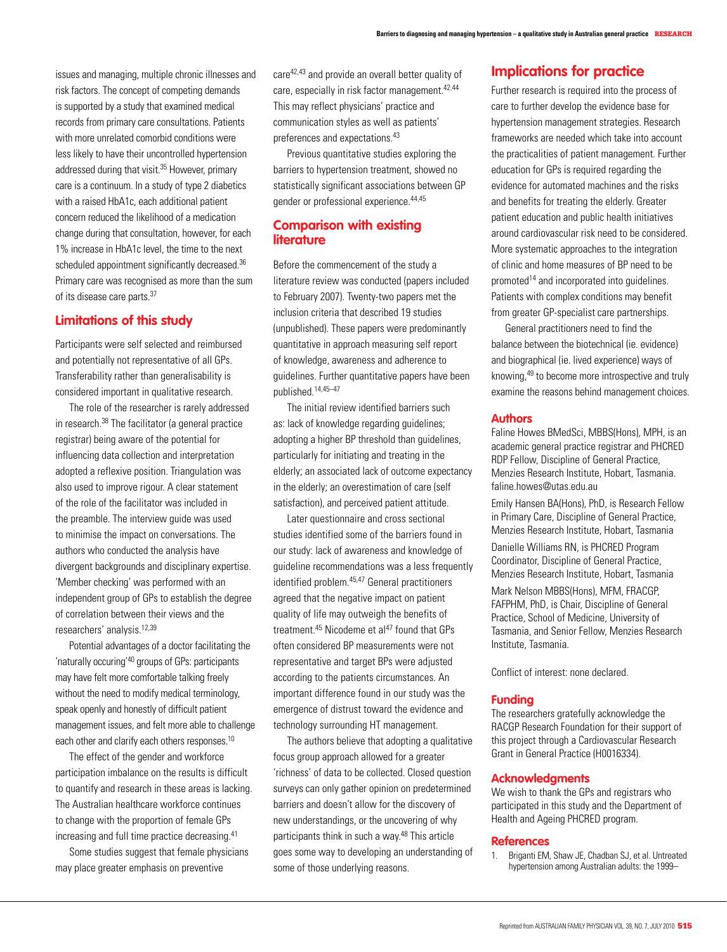issues and managing, multiple chronic illnesses and risk factors. The concept of competing demands is supported by a study that examined medical records from primary care consultations. Patients with more unrelated comorbid conditions were less likely to have their uncontrolled hypertension addressed during that visit.<sup>35</sup> However, primary care is a continuum. In a study of type 2 diabetics with a raised HbA1c, each additional patient concern reduced the likelihood of a medication change during that consultation, however, for each 1% increase in HbA1c level, the time to the next scheduled appointment significantly decreased.<sup>36</sup> Primary care was recognised as more than the sum of its disease care parts.37

# **Limitations of this study**

Participants were self selected and reimbursed and potentially not representative of all GPs. Transferability rather than generalisability is considered important in qualitative research.

The role of the researcher is rarely addressed in research.38 The facilitator (a general practice registrar) being aware of the potential for influencing data collection and interpretation adopted a reflexive position. Triangulation was also used to improve rigour. A clear statement of the role of the facilitator was included in the preamble. The interview guide was used to minimise the impact on conversations. The authors who conducted the analysis have divergent backgrounds and disciplinary expertise. 'Member checking' was performed with an independent group of GPs to establish the degree of correlation between their views and the researchers' analysis.12,39

Potential advantages of a doctor facilitating the 'naturally occuring'40 groups of GPs: participants may have felt more comfortable talking freely without the need to modify medical terminology, speak openly and honestly of difficult patient management issues, and felt more able to challenge each other and clarify each others responses.<sup>10</sup>

The effect of the gender and workforce participation imbalance on the results is difficult to quantify and research in these areas is lacking. The Australian healthcare workforce continues to change with the proportion of female GPs increasing and full time practice decreasing.41

Some studies suggest that female physicians may place greater emphasis on preventive

care42,43 and provide an overall better quality of care, especially in risk factor management.<sup>42,44</sup> This may reflect physicians' practice and communication styles as well as patients' preferences and expectations.43

Previous quantitative studies exploring the barriers to hypertension treatment, showed no statistically significant associations between GP gender or professional experience.44,45

# **Comparison with existing literature**

Before the commencement of the study a literature review was conducted (papers included to February 2007). Twenty-two papers met the inclusion criteria that described 19 studies (unpublished). These papers were predominantly quantitative in approach measuring self report of knowledge, awareness and adherence to guidelines. Further quantitative papers have been published.14,45–47

The initial review identified barriers such as: lack of knowledge regarding guidelines; adopting a higher BP threshold than guidelines, particularly for initiating and treating in the elderly; an associated lack of outcome expectancy in the elderly; an overestimation of care (self satisfaction), and perceived patient attitude.

Later questionnaire and cross sectional studies identified some of the barriers found in our study: lack of awareness and knowledge of guideline recommendations was a less frequently identified problem.45,47 General practitioners agreed that the negative impact on patient quality of life may outweigh the benefits of treatment. $45$  Nicodeme et al $47$  found that GPs often considered BP measurements were not representative and target BPs were adjusted according to the patients circumstances. An important difference found in our study was the emergence of distrust toward the evidence and technology surrounding HT management.

The authors believe that adopting a qualitative focus group approach allowed for a greater 'richness' of data to be collected. Closed question surveys can only gather opinion on predetermined barriers and doesn't allow for the discovery of new understandings, or the uncovering of why participants think in such a way.<sup>48</sup> This article goes some way to developing an understanding of some of those underlying reasons.

# **Implications for practice**

Further research is required into the process of care to further develop the evidence base for hypertension management strategies. Research frameworks are needed which take into account the practicalities of patient management. Further education for GPs is required regarding the evidence for automated machines and the risks and benefits for treating the elderly. Greater patient education and public health initiatives around cardiovascular risk need to be considered. More systematic approaches to the integration of clinic and home measures of BP need to be promoted14 and incorporated into guidelines. Patients with complex conditions may benefit from greater GP-specialist care partnerships.

General practitioners need to find the balance between the biotechnical (ie. evidence) and biographical (ie. lived experience) ways of knowing,49 to become more introspective and truly examine the reasons behind management choices.

## **Authors**

Faline Howes BMedSci, MBBS(Hons), MPH, is an academic general practice registrar and PHCRED RDP Fellow, Discipline of General Practice, Menzies Research Institute, Hobart, Tasmania. faline.howes@utas.edu.au.

Emily Hansen BA(Hons), PhD, is Research Fellow in Primary Care, Discipline of General Practice, Menzies Research Institute, Hobart, Tasmania

Danielle Williams RN, is PHCRED Program Coordinator, Discipline of General Practice, Menzies Research Institute, Hobart, Tasmania

Mark Nelson MBBS(Hons), MFM, FRACGP, FAFPHM, PhD, is Chair, Discipline of General Practice, School of Medicine, University of Tasmania, and Senior Fellow, Menzies Research Institute, Tasmania.

Conflict of interest: none declared.

#### **Funding**

The researchers gratefully acknowledge the RACGP Research Foundation for their support of this project through a Cardiovascular Research Grant in General Practice (H0016334).

#### **Acknowledgments**

We wish to thank the GPs and registrars who participated in this study and the Department of Health and Ageing PHCRED program.

#### **References**

1. Briganti EM, Shaw JE, Chadban SJ, et al. Untreated hypertension among Australian adults: the 1999–